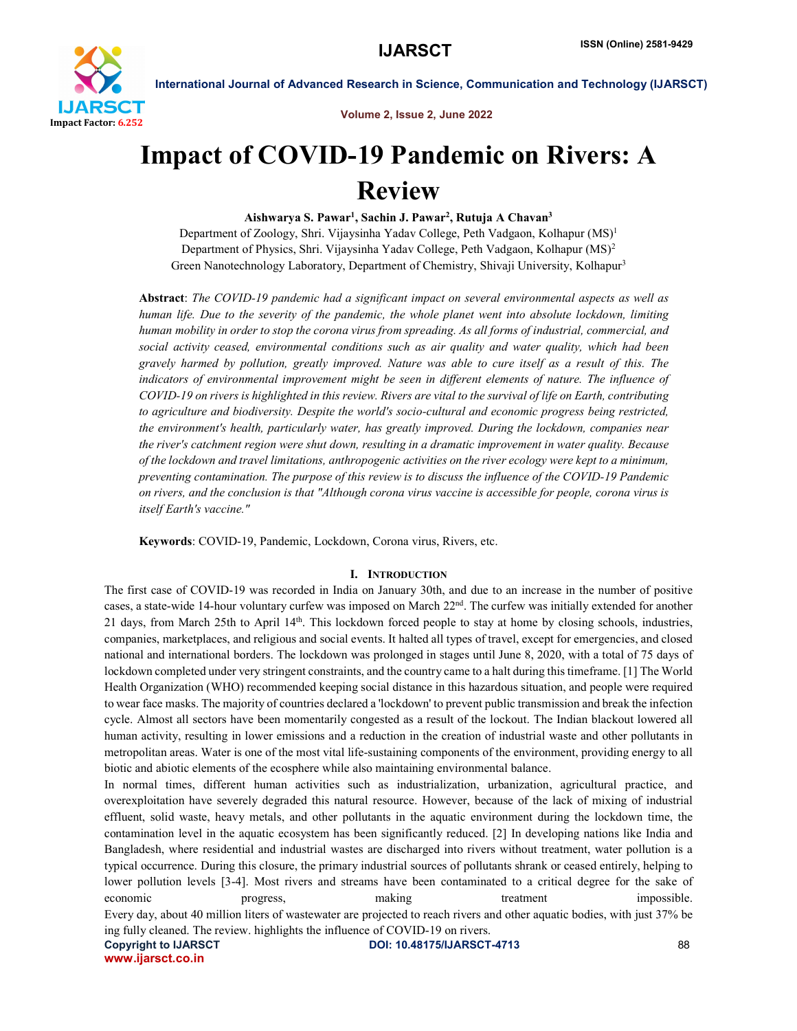

Volume 2, Issue 2, June 2022

# Impact of COVID-19 Pandemic on Rivers: A Review

Aishwarya S. Pawar<sup>1</sup>, Sachin J. Pawar<sup>2</sup>, Rutuja A Chavan<sup>3</sup>

Department of Zoology, Shri. Vijaysinha Yadav College, Peth Vadgaon, Kolhapur (MS)1 Department of Physics, Shri. Vijaysinha Yadav College, Peth Vadgaon, Kolhapur (MS)2 Green Nanotechnology Laboratory, Department of Chemistry, Shivaji University, Kolhapur<sup>3</sup>

Abstract: *The COVID-19 pandemic had a significant impact on several environmental aspects as well as human life. Due to the severity of the pandemic, the whole planet went into absolute lockdown, limiting human mobility in order to stop the corona virus from spreading. As all forms of industrial, commercial, and social activity ceased, environmental conditions such as air quality and water quality, which had been gravely harmed by pollution, greatly improved. Nature was able to cure itself as a result of this. The*  indicators of environmental improvement might be seen in different elements of nature. The influence of *COVID-19 on rivers is highlighted in this review. Rivers are vital to the survival of life on Earth, contributing to agriculture and biodiversity. Despite the world's socio-cultural and economic progress being restricted, the environment's health, particularly water, has greatly improved. During the lockdown, companies near the river's catchment region were shut down, resulting in a dramatic improvement in water quality. Because of the lockdown and travel limitations, anthropogenic activities on the river ecology were kept to a minimum, preventing contamination. The purpose of this review is to discuss the influence of the COVID-19 Pandemic on rivers, and the conclusion is that "Although corona virus vaccine is accessible for people, corona virus is itself Earth's vaccine."*

Keywords: COVID-19, Pandemic, Lockdown, Corona virus, Rivers, etc.

# I. INTRODUCTION

The first case of COVID-19 was recorded in India on January 30th, and due to an increase in the number of positive cases, a state-wide 14-hour voluntary curfew was imposed on March 22nd. The curfew was initially extended for another 21 days, from March 25th to April 14<sup>th</sup>. This lockdown forced people to stay at home by closing schools, industries, companies, marketplaces, and religious and social events. It halted all types of travel, except for emergencies, and closed national and international borders. The lockdown was prolonged in stages until June 8, 2020, with a total of 75 days of lockdown completed under very stringent constraints, and the country came to a halt during this timeframe. [1] The World Health Organization (WHO) recommended keeping social distance in this hazardous situation, and people were required to wear face masks. The majority of countries declared a 'lockdown' to prevent public transmission and break the infection cycle. Almost all sectors have been momentarily congested as a result of the lockout. The Indian blackout lowered all human activity, resulting in lower emissions and a reduction in the creation of industrial waste and other pollutants in metropolitan areas. Water is one of the most vital life-sustaining components of the environment, providing energy to all biotic and abiotic elements of the ecosphere while also maintaining environmental balance.

In normal times, different human activities such as industrialization, urbanization, agricultural practice, and overexploitation have severely degraded this natural resource. However, because of the lack of mixing of industrial effluent, solid waste, heavy metals, and other pollutants in the aquatic environment during the lockdown time, the contamination level in the aquatic ecosystem has been significantly reduced. [2] In developing nations like India and Bangladesh, where residential and industrial wastes are discharged into rivers without treatment, water pollution is a typical occurrence. During this closure, the primary industrial sources of pollutants shrank or ceased entirely, helping to lower pollution levels [3-4]. Most rivers and streams have been contaminated to a critical degree for the sake of economic **progress**, making treatment impossible. Every day, about 40 million liters of wastewater are projected to reach rivers and other aquatic bodies, with just 37% be ing fully cleaned. The review. highlights the influence of COVID-19 on rivers.

www.ijarsct.co.in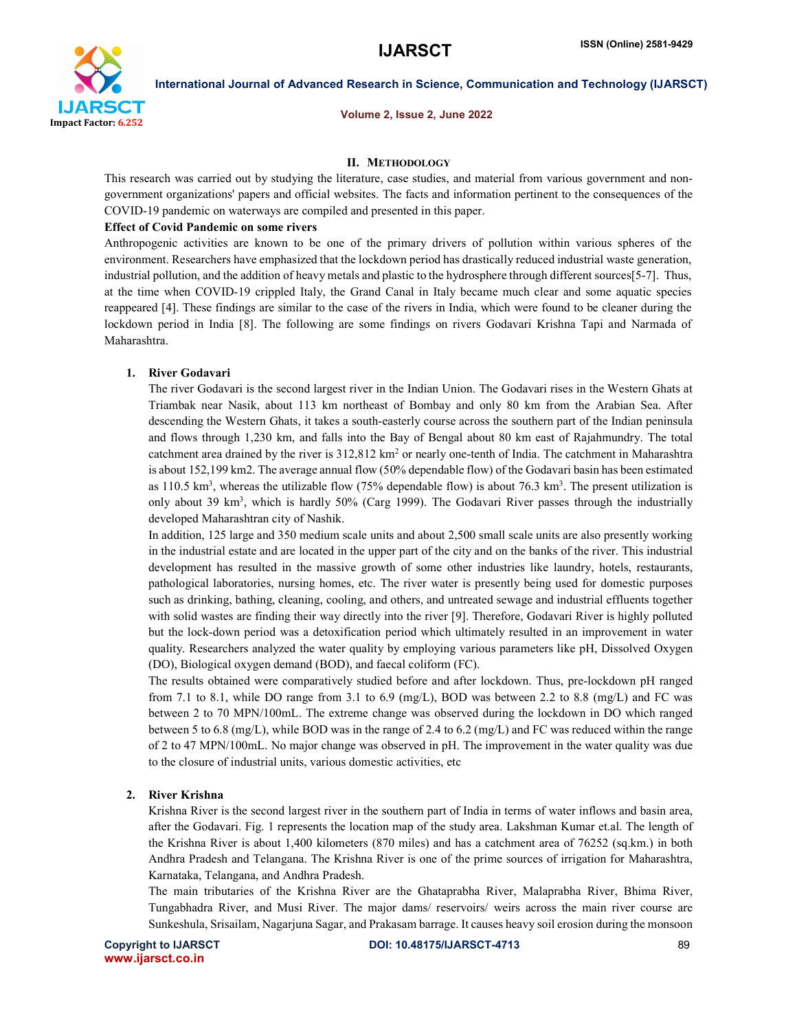

Volume 2, Issue 2, June 2022

#### II. METHODOLOGY

This research was carried out by studying the literature, case studies, and material from various government and nongovernment organizations' papers and official websites. The facts and information pertinent to the consequences of the COVID-19 pandemic on waterways are compiled and presented in this paper.

#### Effect of Covid Pandemic on some rivers

Anthropogenic activities are known to be one of the primary drivers of pollution within various spheres of the environment. Researchers have emphasized that the lockdown period has drastically reduced industrial waste generation, industrial pollution, and the addition of heavy metals and plastic to the hydrosphere through different sources[5-7]. Thus, at the time when COVID-19 crippled Italy, the Grand Canal in Italy became much clear and some aquatic species reappeared [4]. These findings are similar to the case of the rivers in India, which were found to be cleaner during the lockdown period in India [8]. The following are some findings on rivers Godavari Krishna Tapi and Narmada of Maharashtra.

# 1. River Godavari

The river Godavari is the second largest river in the Indian Union. The Godavari rises in the Western Ghats at Triambak near Nasik, about 113 km northeast of Bombay and only 80 km from the Arabian Sea. After descending the Western Ghats, it takes a south-easterly course across the southern part of the Indian peninsula and flows through 1,230 km, and falls into the Bay of Bengal about 80 km east of Rajahmundry. The total catchment area drained by the river is  $312,812 \text{ km}^2$  or nearly one-tenth of India. The catchment in Maharashtra is about 152,199 km2. The average annual flow (50% dependable flow) of the Godavari basin has been estimated as 110.5 km<sup>3</sup>, whereas the utilizable flow (75% dependable flow) is about 76.3 km<sup>3</sup>. The present utilization is only about 39 km<sup>3</sup>, which is hardly 50% (Carg 1999). The Godavari River passes through the industrially developed Maharashtran city of Nashik.

In addition, 125 large and 350 medium scale units and about 2,500 small scale units are also presently working in the industrial estate and are located in the upper part of the city and on the banks of the river. This industrial development has resulted in the massive growth of some other industries like laundry, hotels, restaurants, pathological laboratories, nursing homes, etc. The river water is presently being used for domestic purposes such as drinking, bathing, cleaning, cooling, and others, and untreated sewage and industrial effluents together with solid wastes are finding their way directly into the river [9]. Therefore, Godavari River is highly polluted but the lock-down period was a detoxification period which ultimately resulted in an improvement in water quality. Researchers analyzed the water quality by employing various parameters like pH, Dissolved Oxygen (DO), Biological oxygen demand (BOD), and faecal coliform (FC).

The results obtained were comparatively studied before and after lockdown. Thus, pre-lockdown pH ranged from 7.1 to 8.1, while DO range from 3.1 to 6.9 (mg/L), BOD was between 2.2 to 8.8 (mg/L) and FC was between 2 to 70 MPN/100mL. The extreme change was observed during the lockdown in DO which ranged between 5 to 6.8 (mg/L), while BOD was in the range of 2.4 to 6.2 (mg/L) and FC was reduced within the range of 2 to 47 MPN/100mL. No major change was observed in pH. The improvement in the water quality was due to the closure of industrial units, various domestic activities, etc

### 2. River Krishna

Krishna River is the second largest river in the southern part of India in terms of water inflows and basin area, after the Godavari. Fig. 1 represents the location map of the study area. Lakshman Kumar et.al. The length of the Krishna River is about 1,400 kilometers (870 miles) and has a catchment area of 76252 (sq.km.) in both Andhra Pradesh and Telangana. The Krishna River is one of the prime sources of irrigation for Maharashtra, Karnataka, Telangana, and Andhra Pradesh.

The main tributaries of the Krishna River are the Ghataprabha River, Malaprabha River, Bhima River, Tungabhadra River, and Musi River. The major dams/ reservoirs/ weirs across the main river course are Sunkeshula, Srisailam, Nagarjuna Sagar, and Prakasam barrage. It causes heavy soil erosion during the monsoon

www.ijarsct.co.in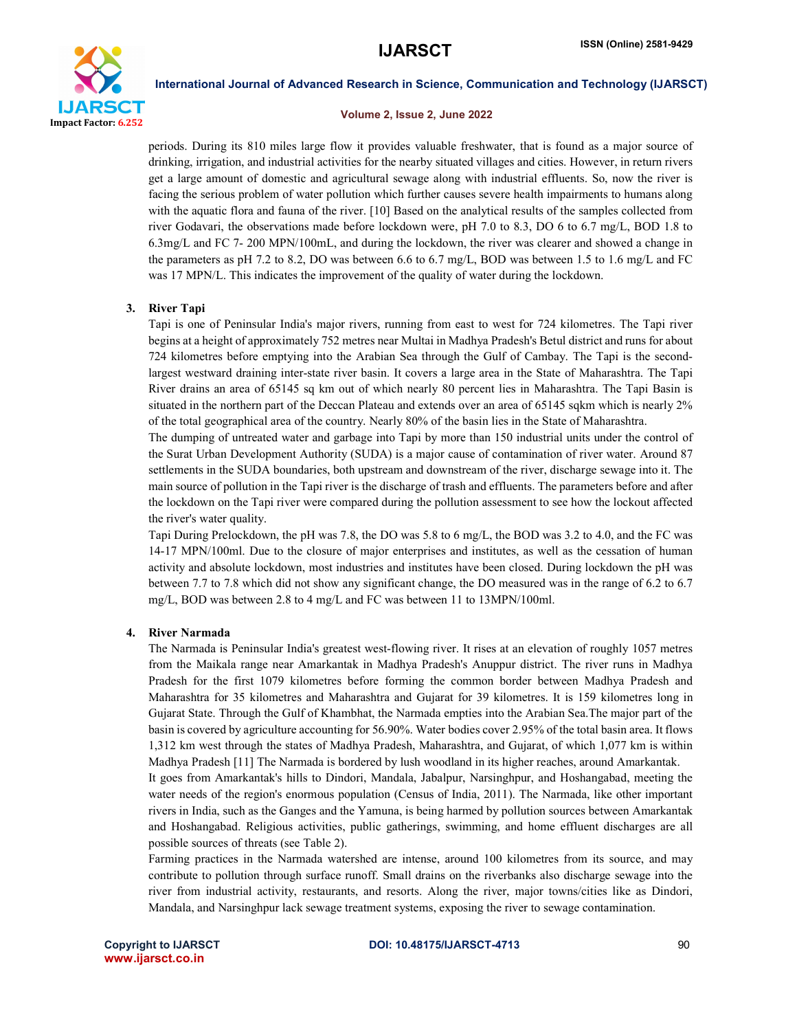

#### Volume 2, Issue 2, June 2022

periods. During its 810 miles large flow it provides valuable freshwater, that is found as a major source of drinking, irrigation, and industrial activities for the nearby situated villages and cities. However, in return rivers get a large amount of domestic and agricultural sewage along with industrial effluents. So, now the river is facing the serious problem of water pollution which further causes severe health impairments to humans along with the aquatic flora and fauna of the river. [10] Based on the analytical results of the samples collected from river Godavari, the observations made before lockdown were, pH 7.0 to 8.3, DO 6 to 6.7 mg/L, BOD 1.8 to 6.3mg/L and FC 7- 200 MPN/100mL, and during the lockdown, the river was clearer and showed a change in the parameters as pH 7.2 to 8.2, DO was between 6.6 to 6.7 mg/L, BOD was between 1.5 to 1.6 mg/L and FC was 17 MPN/L. This indicates the improvement of the quality of water during the lockdown.

### 3. River Tapi

Tapi is one of Peninsular India's major rivers, running from east to west for 724 kilometres. The Tapi river begins at a height of approximately 752 metres near Multai in Madhya Pradesh's Betul district and runs for about 724 kilometres before emptying into the Arabian Sea through the Gulf of Cambay. The Tapi is the secondlargest westward draining inter-state river basin. It covers a large area in the State of Maharashtra. The Tapi River drains an area of 65145 sq km out of which nearly 80 percent lies in Maharashtra. The Tapi Basin is situated in the northern part of the Deccan Plateau and extends over an area of 65145 sqkm which is nearly 2% of the total geographical area of the country. Nearly 80% of the basin lies in the State of Maharashtra.

The dumping of untreated water and garbage into Tapi by more than 150 industrial units under the control of the Surat Urban Development Authority (SUDA) is a major cause of contamination of river water. Around 87 settlements in the SUDA boundaries, both upstream and downstream of the river, discharge sewage into it. The main source of pollution in the Tapi river is the discharge of trash and effluents. The parameters before and after the lockdown on the Tapi river were compared during the pollution assessment to see how the lockout affected the river's water quality.

Tapi During Prelockdown, the pH was 7.8, the DO was 5.8 to 6 mg/L, the BOD was 3.2 to 4.0, and the FC was 14-17 MPN/100ml. Due to the closure of major enterprises and institutes, as well as the cessation of human activity and absolute lockdown, most industries and institutes have been closed. During lockdown the pH was between 7.7 to 7.8 which did not show any significant change, the DO measured was in the range of 6.2 to 6.7 mg/L, BOD was between 2.8 to 4 mg/L and FC was between 11 to 13MPN/100ml.

#### 4. River Narmada

The Narmada is Peninsular India's greatest west-flowing river. It rises at an elevation of roughly 1057 metres from the Maikala range near Amarkantak in Madhya Pradesh's Anuppur district. The river runs in Madhya Pradesh for the first 1079 kilometres before forming the common border between Madhya Pradesh and Maharashtra for 35 kilometres and Maharashtra and Gujarat for 39 kilometres. It is 159 kilometres long in Gujarat State. Through the Gulf of Khambhat, the Narmada empties into the Arabian Sea.The major part of the basin is covered by agriculture accounting for 56.90%. Water bodies cover 2.95% of the total basin area. It flows 1,312 km west through the states of Madhya Pradesh, Maharashtra, and Gujarat, of which 1,077 km is within Madhya Pradesh [11] The Narmada is bordered by lush woodland in its higher reaches, around Amarkantak.

It goes from Amarkantak's hills to Dindori, Mandala, Jabalpur, Narsinghpur, and Hoshangabad, meeting the water needs of the region's enormous population (Census of India, 2011). The Narmada, like other important rivers in India, such as the Ganges and the Yamuna, is being harmed by pollution sources between Amarkantak and Hoshangabad. Religious activities, public gatherings, swimming, and home effluent discharges are all possible sources of threats (see Table 2).

Farming practices in the Narmada watershed are intense, around 100 kilometres from its source, and may contribute to pollution through surface runoff. Small drains on the riverbanks also discharge sewage into the river from industrial activity, restaurants, and resorts. Along the river, major towns/cities like as Dindori, Mandala, and Narsinghpur lack sewage treatment systems, exposing the river to sewage contamination.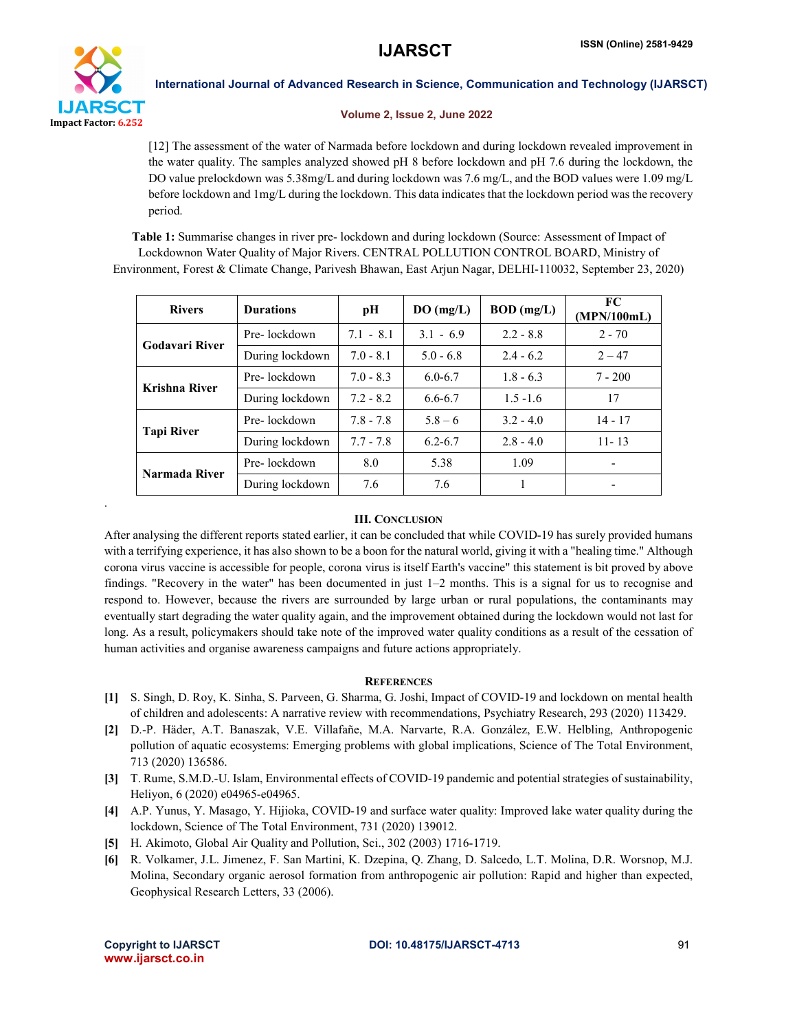

.

International Journal of Advanced Research in Science, Communication and Technology (IJARSCT)

#### Volume 2, Issue 2, June 2022

[12] The assessment of the water of Narmada before lockdown and during lockdown revealed improvement in the water quality. The samples analyzed showed pH 8 before lockdown and pH 7.6 during the lockdown, the DO value prelockdown was 5.38mg/L and during lockdown was 7.6 mg/L, and the BOD values were 1.09 mg/L before lockdown and 1mg/L during the lockdown. This data indicates that the lockdown period was the recovery period.

Table 1: Summarise changes in river pre- lockdown and during lockdown (Source: Assessment of Impact of Lockdownon Water Quality of Major Rivers. CENTRAL POLLUTION CONTROL BOARD, Ministry of Environment, Forest & Climate Change, Parivesh Bhawan, East Arjun Nagar, DELHI-110032, September 23, 2020)

| <b>Rivers</b>         | <b>Durations</b> | pН          | DO(mg/L)    | <b>BOD</b> (mg/L) | FC.<br>(MPN/100mL) |
|-----------------------|------------------|-------------|-------------|-------------------|--------------------|
| <b>Godavari River</b> | Pre-lockdown     | $7.1 - 8.1$ | $3.1 - 6.9$ | $2.2 - 8.8$       | $2 - 70$           |
|                       | During lockdown  | $7.0 - 8.1$ | $5.0 - 6.8$ | $2.4 - 6.2$       | $2 - 47$           |
| Krishna River         | Pre-lockdown     | $7.0 - 8.3$ | $6.0 - 6.7$ | $1.8 - 6.3$       | $7 - 200$          |
|                       | During lockdown  | $7.2 - 8.2$ | 6.6-6.7     | $1.5 - 1.6$       | 17                 |
| <b>Tapi River</b>     | Pre-lockdown     | $7.8 - 7.8$ | $5.8 - 6$   | $3.2 - 4.0$       | $14 - 17$          |
|                       | During lockdown  | $7.7 - 7.8$ | $6.2 - 6.7$ | $2.8 - 4.0$       | $11 - 13$          |
| Narmada River         | Pre-lockdown     | 8.0         | 5.38        | 1.09              |                    |
|                       | During lockdown  | 7.6         | 7.6         |                   |                    |

# III. CONCLUSION

After analysing the different reports stated earlier, it can be concluded that while COVID-19 has surely provided humans with a terrifying experience, it has also shown to be a boon for the natural world, giving it with a "healing time." Although corona virus vaccine is accessible for people, corona virus is itself Earth's vaccine" this statement is bit proved by above findings. "Recovery in the water" has been documented in just 1–2 months. This is a signal for us to recognise and respond to. However, because the rivers are surrounded by large urban or rural populations, the contaminants may eventually start degrading the water quality again, and the improvement obtained during the lockdown would not last for long. As a result, policymakers should take note of the improved water quality conditions as a result of the cessation of human activities and organise awareness campaigns and future actions appropriately.

# **REFERENCES**

- [1] S. Singh, D. Roy, K. Sinha, S. Parveen, G. Sharma, G. Joshi, Impact of COVID-19 and lockdown on mental health of children and adolescents: A narrative review with recommendations, Psychiatry Research, 293 (2020) 113429.
- [2] D.-P. Häder, A.T. Banaszak, V.E. Villafañe, M.A. Narvarte, R.A. González, E.W. Helbling, Anthropogenic pollution of aquatic ecosystems: Emerging problems with global implications, Science of The Total Environment, 713 (2020) 136586.
- [3] T. Rume, S.M.D.-U. Islam, Environmental effects of COVID-19 pandemic and potential strategies of sustainability, Heliyon, 6 (2020) e04965-e04965.
- [4] A.P. Yunus, Y. Masago, Y. Hijioka, COVID-19 and surface water quality: Improved lake water quality during the lockdown, Science of The Total Environment, 731 (2020) 139012.
- [5] H. Akimoto, Global Air Quality and Pollution, Sci., 302 (2003) 1716-1719.
- [6] R. Volkamer, J.L. Jimenez, F. San Martini, K. Dzepina, Q. Zhang, D. Salcedo, L.T. Molina, D.R. Worsnop, M.J. Molina, Secondary organic aerosol formation from anthropogenic air pollution: Rapid and higher than expected, Geophysical Research Letters, 33 (2006).